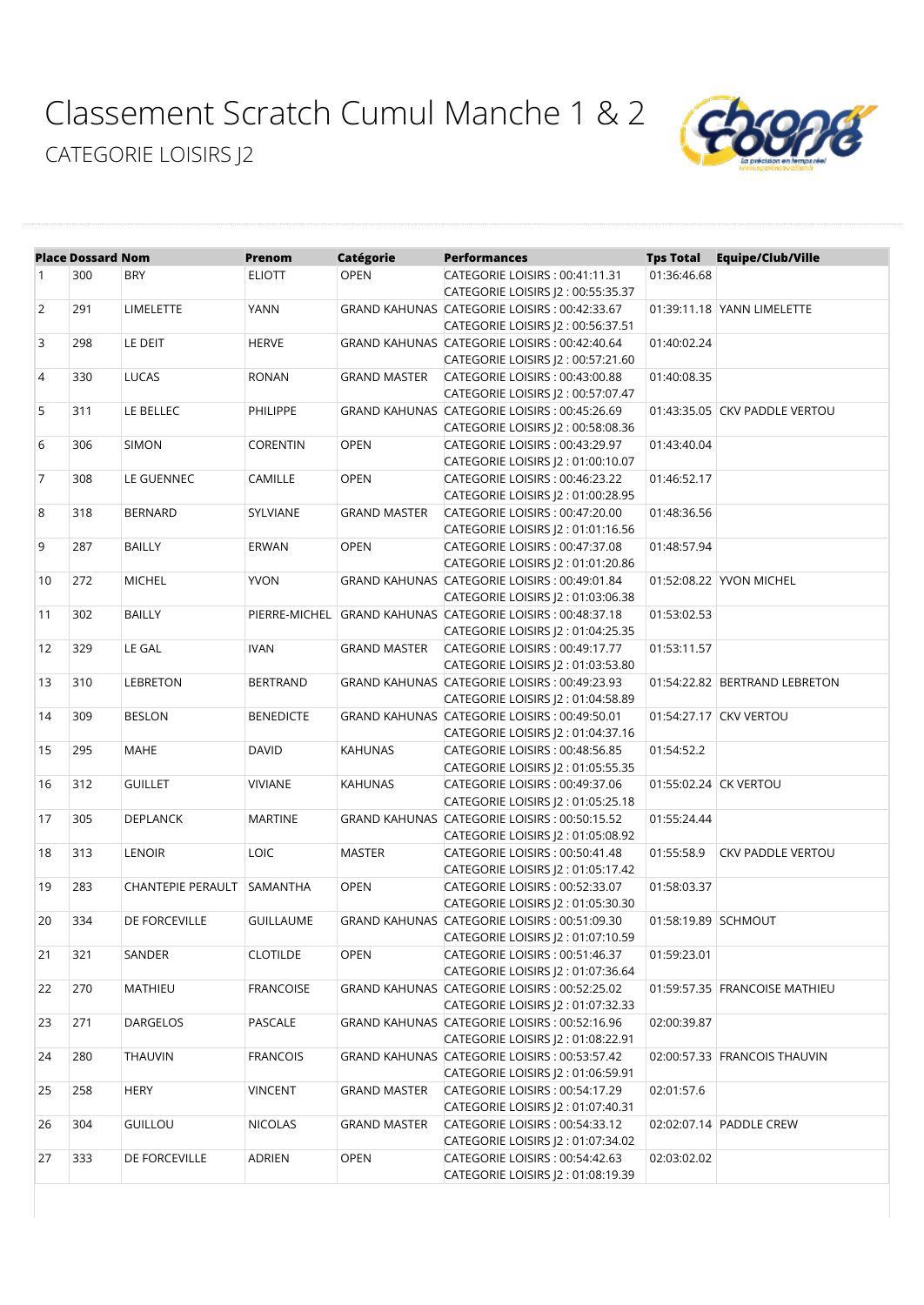[Classement Scratch Cumul Manche 1 & 2](https://www.sportinnovation.fr/suivi_track_t/classement_print.php?crs=5207&categorie=PDT_CF&tag=&nom_equipe=&nb_constituant=®ion=#) [CATEGORIE LOISIRS J2](https://www.sportinnovation.fr/suivi_track_t/classement_print.php?crs=5207&categorie=PDT_CF&tag=&nom_equipe=&nb_constituant=®ion=#)



|                | <b>Place Dossard Nom</b> |                            | Prenom           | <b>Catégorie</b>    | <b>Performances</b>                                        | <b>Tps Total</b>    | <b>Equipe/Club/Ville</b>      |
|----------------|--------------------------|----------------------------|------------------|---------------------|------------------------------------------------------------|---------------------|-------------------------------|
| $\mathbf{1}$   | 300                      | <b>BRY</b>                 | <b>ELIOTT</b>    | <b>OPEN</b>         | CATEGORIE LOISIRS: 00:41:11.31                             | 01:36:46.68         |                               |
|                |                          |                            |                  |                     | CATEGORIE LOISIRS  2:00:55:35.37                           |                     |                               |
| $\overline{2}$ | 291                      | <b>LIMELETTE</b>           | YANN             |                     | GRAND KAHUNAS CATEGORIE LOISIRS: 00:42:33.67               |                     | 01:39:11.18 YANN LIMELETTE    |
|                |                          |                            |                  |                     | CATEGORIE LOISIRS  2:00:56:37.51                           |                     |                               |
| 3              | 298                      | LE DEIT                    | <b>HERVE</b>     |                     | GRAND KAHUNAS CATEGORIE LOISIRS: 00:42:40.64               | 01:40:02.24         |                               |
|                |                          |                            |                  |                     | CATEGORIE LOISIRS  2 : 00:57:21.60                         |                     |                               |
| 4              | 330                      | <b>LUCAS</b>               | <b>RONAN</b>     | <b>GRAND MASTER</b> | CATEGORIE LOISIRS: 00:43:00.88                             | 01:40:08.35         |                               |
|                |                          |                            |                  |                     | CATEGORIE LOISIRS  2:00:57:07.47                           |                     |                               |
| 5              | 311                      | LE BELLEC                  | <b>PHILIPPE</b>  |                     | GRAND KAHUNAS CATEGORIE LOISIRS: 00:45:26.69               |                     | 01:43:35.05 CKV PADDLE VERTOU |
|                |                          |                            |                  |                     | CATEGORIE LOISIRS  2:00:58:08.36                           |                     |                               |
| 6              | 306                      | <b>SIMON</b>               | <b>CORENTIN</b>  | <b>OPEN</b>         | CATEGORIE LOISIRS: 00:43:29.97                             | 01:43:40.04         |                               |
|                |                          |                            |                  |                     | CATEGORIE LOISIRS  2:01:00:10.07                           |                     |                               |
| $\overline{7}$ | 308                      | LE GUENNEC                 | CAMILLE          | <b>OPEN</b>         | CATEGORIE LOISIRS: 00:46:23.22                             | 01:46:52.17         |                               |
|                |                          |                            |                  |                     | CATEGORIE LOISIRS J2: 01:00:28.95                          |                     |                               |
| 8              | 318                      | <b>BERNARD</b>             | SYLVIANE         | <b>GRAND MASTER</b> | CATEGORIE LOISIRS: 00:47:20.00                             | 01:48:36.56         |                               |
|                |                          |                            |                  |                     | CATEGORIE LOISIRS  2:01:01:16.56                           |                     |                               |
| 9              | 287                      | <b>BAILLY</b>              | ERWAN            | OPEN                | CATEGORIE LOISIRS: 00:47:37.08                             | 01:48:57.94         |                               |
|                |                          |                            |                  |                     | CATEGORIE LOISIRS J2: 01:01:20.86                          |                     |                               |
| 10             | 272                      | <b>MICHEL</b>              | <b>YVON</b>      |                     | GRAND KAHUNAS CATEGORIE LOISIRS: 00:49:01.84               |                     | 01:52:08.22 YVON MICHEL       |
|                |                          |                            |                  |                     | CATEGORIE LOISIRS J2: 01:03:06.38                          |                     |                               |
| 11             | 302                      | <b>BAILLY</b>              |                  |                     | PIERRE-MICHEL GRAND KAHUNAS CATEGORIE LOISIRS: 00:48:37.18 | 01:53:02.53         |                               |
|                |                          |                            |                  |                     |                                                            |                     |                               |
|                |                          |                            |                  |                     | CATEGORIE LOISIRS  2 : 01:04:25.35                         |                     |                               |
| 12             | 329                      | LE GAL                     | <b>IVAN</b>      | <b>GRAND MASTER</b> | CATEGORIE LOISIRS: 00:49:17.77                             | 01:53:11.57         |                               |
|                |                          |                            |                  |                     | CATEGORIE LOISIRS  2:01:03:53.80                           |                     |                               |
| 13             | 310                      | LEBRETON                   | <b>BERTRAND</b>  |                     | GRAND KAHUNAS CATEGORIE LOISIRS: 00:49:23.93               |                     | 01:54:22.82 BERTRAND LEBRETON |
|                |                          |                            |                  |                     | CATEGORIE LOISIRS J2: 01:04:58.89                          |                     |                               |
| 14             | 309                      | <b>BESLON</b>              | <b>BENEDICTE</b> |                     | GRAND KAHUNAS CATEGORIE LOISIRS: 00:49:50.01               |                     | 01:54:27.17 CKV VERTOU        |
|                |                          |                            |                  |                     | CATEGORIE LOISIRS  2:01:04:37.16                           |                     |                               |
| 15             | 295                      | <b>MAHE</b>                | <b>DAVID</b>     | <b>KAHUNAS</b>      | CATEGORIE LOISIRS: 00:48:56.85                             | 01:54:52.2          |                               |
|                |                          |                            |                  |                     | CATEGORIE LOISIRS J2: 01:05:55.35                          |                     |                               |
| 16             | 312                      | <b>GUILLET</b>             | <b>VIVIANE</b>   | <b>KAHUNAS</b>      | CATEGORIE LOISIRS: 00:49:37.06                             |                     | 01:55:02.24 CK VERTOU         |
|                |                          |                            |                  |                     | CATEGORIE LOISIRS (2:01:05:25.18                           |                     |                               |
| 17             | 305                      | <b>DEPLANCK</b>            | <b>MARTINE</b>   |                     | GRAND KAHUNAS CATEGORIE LOISIRS: 00:50:15.52               | 01:55:24.44         |                               |
|                |                          |                            |                  |                     | CATEGORIE LOISIRS J2: 01:05:08.92                          |                     |                               |
| 18             | 313                      | <b>LENOIR</b>              | <b>LOIC</b>      | <b>MASTER</b>       | CATEGORIE LOISIRS: 00:50:41.48                             | 01:55:58.9          | <b>CKV PADDLE VERTOU</b>      |
|                |                          |                            |                  |                     | CATEGORIE LOISIRS  2:01:05:17.42                           |                     |                               |
| 19             | 283                      | CHANTEPIE PERAULT SAMANTHA |                  | OPEN                | CATEGORIE LOISIRS: 00:52:33.07                             | 01:58:03.37         |                               |
|                |                          |                            |                  |                     | CATEGORIE LOISIRS J2: 01:05:30.30                          |                     |                               |
| 20             | 334                      | DE FORCEVILLE              | <b>GUILLAUME</b> |                     | GRAND KAHUNAS CATEGORIE LOISIRS: 00:51:09.30               | 01:58:19.89 SCHMOUT |                               |
|                |                          |                            |                  |                     | CATEGORIE LOISIRS J2 : 01:07:10.59                         |                     |                               |
| 21             | 321                      | SANDER                     | <b>CLOTILDE</b>  | <b>OPEN</b>         | CATEGORIE LOISIRS: 00:51:46.37                             | 01:59:23.01         |                               |
|                |                          |                            |                  |                     | CATEGORIE LOISIRS  2:01:07:36.64                           |                     |                               |
| 22             | 270                      | MATHIEU                    | <b>FRANCOISE</b> |                     | GRAND KAHUNAS CATEGORIE LOISIRS: 00:52:25.02               |                     | 01:59:57.35 FRANCOISE MATHIEU |
|                |                          |                            |                  |                     | CATEGORIE LOISIRS  2:01:07:32.33                           |                     |                               |
| 23             | 271                      | <b>DARGELOS</b>            | PASCALE          |                     | GRAND KAHUNAS CATEGORIE LOISIRS: 00:52:16.96               | 02:00:39.87         |                               |
|                |                          |                            |                  |                     | CATEGORIE LOISIRS J2: 01:08:22.91                          |                     |                               |
| 24             | 280                      | <b>THAUVIN</b>             | <b>FRANCOIS</b>  |                     | GRAND KAHUNAS CATEGORIE LOISIRS: 00:53:57.42               |                     | 02:00:57.33 FRANCOIS THAUVIN  |
|                |                          |                            |                  |                     | CATEGORIE LOISIRS  2:01:06:59.91                           |                     |                               |
| 25             | 258                      | <b>HERY</b>                | <b>VINCENT</b>   | <b>GRAND MASTER</b> | CATEGORIE LOISIRS: 00:54:17.29                             | 02:01:57.6          |                               |
|                |                          |                            |                  |                     | CATEGORIE LOISIRS J2: 01:07:40.31                          |                     |                               |
| 26             | 304                      | <b>GUILLOU</b>             | <b>NICOLAS</b>   | <b>GRAND MASTER</b> | CATEGORIE LOISIRS: 00:54:33.12                             |                     | 02:02:07.14 PADDLE CREW       |
|                |                          |                            |                  |                     | CATEGORIE LOISIRS J2: 01:07:34.02                          |                     |                               |
|                | 333                      |                            | ADRIEN           | <b>OPEN</b>         | CATEGORIE LOISIRS: 00:54:42.63                             | 02:03:02.02         |                               |
| 27             |                          | DE FORCEVILLE              |                  |                     |                                                            |                     |                               |
|                |                          |                            |                  |                     | CATEGORIE LOISIRS J2: 01:08:19.39                          |                     |                               |